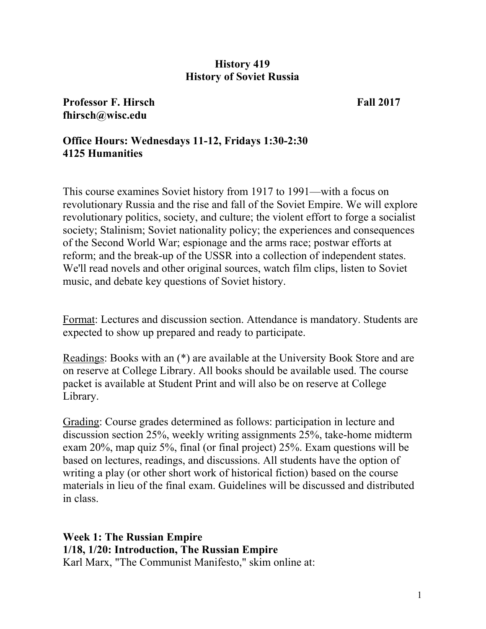### **History 419 History of Soviet Russia**

**Professor F. Hirsch Fall 2017 fhirsch@wisc.edu** 

## **Office Hours: Wednesdays 11-12, Fridays 1:30-2:30 4125 Humanities**

This course examines Soviet history from 1917 to 1991—with a focus on revolutionary Russia and the rise and fall of the Soviet Empire. We will explore revolutionary politics, society, and culture; the violent effort to forge a socialist society; Stalinism; Soviet nationality policy; the experiences and consequences of the Second World War; espionage and the arms race; postwar efforts at reform; and the break-up of the USSR into a collection of independent states. We'll read novels and other original sources, watch film clips, listen to Soviet music, and debate key questions of Soviet history.

Format: Lectures and discussion section. Attendance is mandatory. Students are expected to show up prepared and ready to participate.

Readings: Books with an (\*) are available at the University Book Store and are on reserve at College Library. All books should be available used. The course packet is available at Student Print and will also be on reserve at College Library.

Grading: Course grades determined as follows: participation in lecture and discussion section 25%, weekly writing assignments 25%, take-home midterm exam 20%, map quiz 5%, final (or final project) 25%. Exam questions will be based on lectures, readings, and discussions. All students have the option of writing a play (or other short work of historical fiction) based on the course materials in lieu of the final exam. Guidelines will be discussed and distributed in class.

**Week 1: The Russian Empire 1/18, 1/20: Introduction, The Russian Empire**  Karl Marx, "The Communist Manifesto," skim online at: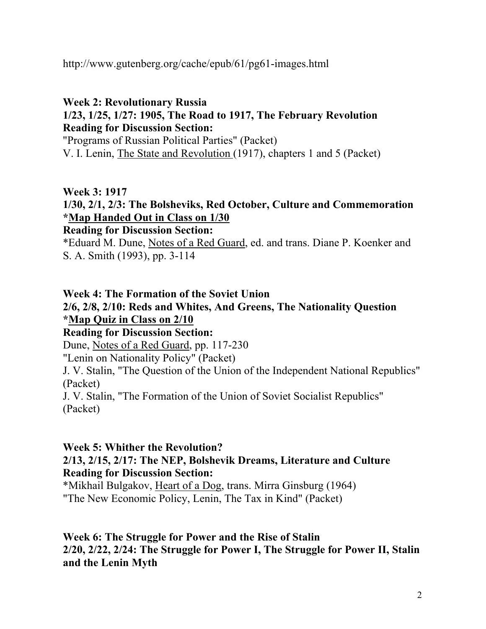http://www.gutenberg.org/cache/epub/61/pg61-images.html

## **Week 2: Revolutionary Russia 1/23, 1/25, 1/27: 1905, The Road to 1917, The February Revolution Reading for Discussion Section:**

"Programs of Russian Political Parties" (Packet) V. I. Lenin, The State and Revolution (1917), chapters 1 and 5 (Packet)

## **Week 3: 1917**

# **1/30, 2/1, 2/3: The Bolsheviks, Red October, Culture and Commemoration \*Map Handed Out in Class on 1/30**

## **Reading for Discussion Section:**

\*Eduard M. Dune, Notes of a Red Guard, ed. and trans. Diane P. Koenker and S. A. Smith (1993), pp. 3-114

## **Week 4: The Formation of the Soviet Union**

## **2/6, 2/8, 2/10: Reds and Whites, And Greens, The Nationality Question \*Map Quiz in Class on 2/10 Reading for Discussion Section:**

Dune, Notes of a Red Guard, pp. 117-230

"Lenin on Nationality Policy" (Packet)

J. V. Stalin, "The Question of the Union of the Independent National Republics" (Packet)

J. V. Stalin, "The Formation of the Union of Soviet Socialist Republics" (Packet)

## **Week 5: Whither the Revolution?**

## **2/13, 2/15, 2/17: The NEP, Bolshevik Dreams, Literature and Culture Reading for Discussion Section:**

\*Mikhail Bulgakov, Heart of a Dog, trans. Mirra Ginsburg (1964) "The New Economic Policy, Lenin, The Tax in Kind" (Packet)

## **Week 6: The Struggle for Power and the Rise of Stalin 2/20, 2/22, 2/24: The Struggle for Power I, The Struggle for Power II, Stalin and the Lenin Myth**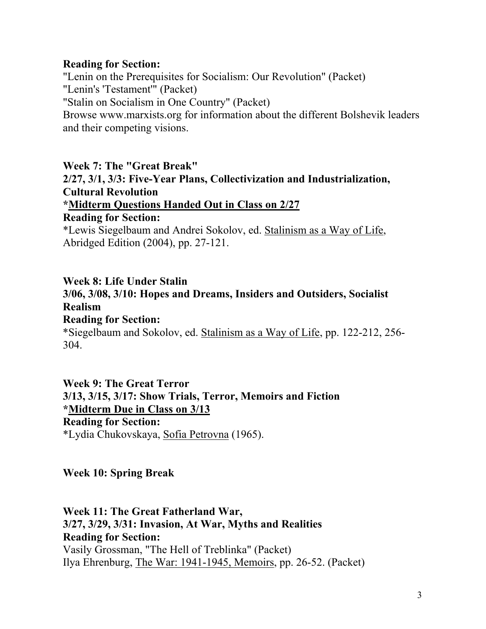### **Reading for Section:**

"Lenin on the Prerequisites for Socialism: Our Revolution" (Packet) "Lenin's 'Testament'" (Packet) "Stalin on Socialism in One Country" (Packet) Browse www.marxists.org for information about the different Bolshevik leaders and their competing visions.

**Week 7: The "Great Break" 2/27, 3/1, 3/3: Five-Year Plans, Collectivization and Industrialization, Cultural Revolution \*Midterm Questions Handed Out in Class on 2/27 Reading for Section:**  \*Lewis Siegelbaum and Andrei Sokolov, ed. Stalinism as a Way of Life,

Abridged Edition (2004), pp. 27-121.

### **Week 8: Life Under Stalin**

### **3/06, 3/08, 3/10: Hopes and Dreams, Insiders and Outsiders, Socialist Realism**

**Reading for Section:** 

\*Siegelbaum and Sokolov, ed. Stalinism as a Way of Life, pp. 122-212, 256- 304.

**Week 9: The Great Terror 3/13, 3/15, 3/17: Show Trials, Terror, Memoirs and Fiction \*Midterm Due in Class on 3/13 Reading for Section:**  \*Lydia Chukovskaya, Sofia Petrovna (1965).

**Week 10: Spring Break** 

**Week 11: The Great Fatherland War, 3/27, 3/29, 3/31: Invasion, At War, Myths and Realities Reading for Section:**  Vasily Grossman, "The Hell of Treblinka" (Packet) Ilya Ehrenburg, The War: 1941-1945, Memoirs, pp. 26-52. (Packet)